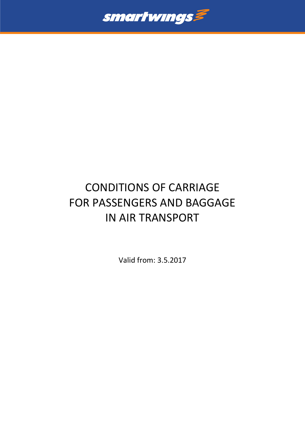

# CONDITIONS OF CARRIAGE FOR PASSENGERS AND BAGGAGE IN AIR TRANSPORT

Valid from: 3.5.2017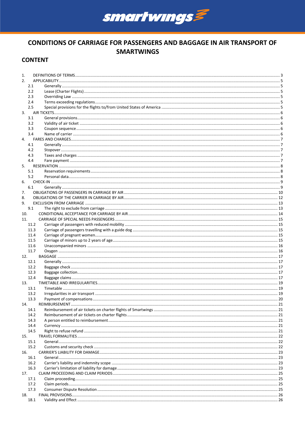

# **CONDITIONS OF CARRIAGE FOR PASSENGERS AND BAGGAGE IN AIR TRANSPORT OF SMARTWINGS**

# **CONTENT**

| 1.  |              |  |  |  |  |
|-----|--------------|--|--|--|--|
| 2.  |              |  |  |  |  |
|     | 2.1          |  |  |  |  |
|     | 2.2          |  |  |  |  |
|     | 2.3          |  |  |  |  |
|     | 2.4          |  |  |  |  |
|     | 2.5          |  |  |  |  |
| 3.  |              |  |  |  |  |
|     | 3.1          |  |  |  |  |
|     | 3.2          |  |  |  |  |
|     | 3.3          |  |  |  |  |
|     | 3.4          |  |  |  |  |
| 4.  |              |  |  |  |  |
|     | 4.1          |  |  |  |  |
|     | 4.2          |  |  |  |  |
|     | 4.3          |  |  |  |  |
|     | 4.4          |  |  |  |  |
| 5.  |              |  |  |  |  |
|     | 5.1          |  |  |  |  |
|     | 5.2          |  |  |  |  |
| 6.  |              |  |  |  |  |
|     | 6.1          |  |  |  |  |
| 7.  |              |  |  |  |  |
| 8.  |              |  |  |  |  |
| 9.  |              |  |  |  |  |
|     | 9.1          |  |  |  |  |
| 10. |              |  |  |  |  |
| 11. |              |  |  |  |  |
|     | 11.2         |  |  |  |  |
|     | 11.3         |  |  |  |  |
|     | 11.4         |  |  |  |  |
|     | 11.5         |  |  |  |  |
|     | 11.6         |  |  |  |  |
|     | 11.7         |  |  |  |  |
| 12. |              |  |  |  |  |
|     | 12.1         |  |  |  |  |
|     | 12.2         |  |  |  |  |
|     | 12.3<br>12.4 |  |  |  |  |
| 13. |              |  |  |  |  |
|     | 13.1         |  |  |  |  |
|     | 13.2         |  |  |  |  |
|     | 13.3         |  |  |  |  |
| 14. |              |  |  |  |  |
|     | 14.1         |  |  |  |  |
|     | 14.2         |  |  |  |  |
|     | 14.3         |  |  |  |  |
|     | 14.4         |  |  |  |  |
|     | 14.5         |  |  |  |  |
| 15. |              |  |  |  |  |
|     | 15.1         |  |  |  |  |
|     | 15.2         |  |  |  |  |
| 16. |              |  |  |  |  |
|     | 16.1         |  |  |  |  |
|     | 16.2         |  |  |  |  |
|     | 16.3         |  |  |  |  |
| 17. |              |  |  |  |  |
|     | 17.1         |  |  |  |  |
|     | 17.2         |  |  |  |  |
|     | 17.3         |  |  |  |  |
| 18. |              |  |  |  |  |
|     | 18.1         |  |  |  |  |
|     |              |  |  |  |  |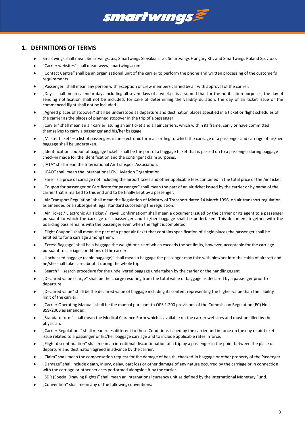

# <span id="page-2-0"></span>**1. DEFINITIONS OF TERMS**

- Smartwings shall mean Smartwings, a.s, Smartwings Slovakia s.r.o, Smartwings Hungary Kft. and Smartwings Poland Sp. z o.o.
- "Carrier websites" shall mean [www.smartwings.com](http://www.smartwings.com/)
- "Contact Centre" shall be an organizational unit of the carrier to perform the phone and written processing of the customer's requirements.
- "Passenger" shall mean any person with exception of crew members carried by air with approval of the carrier.
- "Days" shall mean calendar days including all seven days of a week; it is assumed that for the notification purposes, the day of sending notification shall not be included; for sake of determining the validity duration, the day of air ticket issue or the commenced flight shall not be included.
- "Agreed places of stopover" shall be understood as departure and destination places specified in a ticket or flight schedules of the carrier as the places of planned stopover in the trip of a passenger.
- "Carrier" shall mean an air carrier issuing an air ticket and all air carriers, which within its frame, carry or have committed themselves to carry a passenger and his/her baggage.
- "Master ticket" a list of passengers in an electronic form according to which the carriage of a passenger and carriage of his/her baggage shall be undertaken.
- "Identification coupon of baggage ticket" shall be the part of a baggage ticket that is passed on to a passenger during baggage check-in made for the identification and the contingent claimpurposes.
- "IATA" shall mean the International Air Transport Association.
- "ICAO" shall mean the International Civil AviationOrganization.
- "Fare" is a price of carriage not including the airport taxes and other applicable fees contained in the total price of the Air Ticket
- "Coupon for passenger or Certificate for passenger" shall mean the part of an air ticket issued by the carrier or by name of the carrier that is marked to this end and to be finally kept by a passenger.
- "Air Transport Regulation" shall mean the Regulation of Ministry of Transport dated 14 March 1996, on air transport regulation, as amended or a subsequent legal standard succeeding the regulation.
- "Air Ticket / Electronic Air Ticket / Travel Confirmation" shall mean a document issued by the carrier or its agent to a passenger pursuant to which the carriage of a passenger and his/her baggage shall be undertaken. This document together with the boarding pass remains with the passenger even when the flight is completed.
- "Flight Coupon" shall mean the part of a paper air ticket that contains specification of single places the passenger shall be entitled to for a carriage among them.
- "Excess Baggage" shall be a baggage the weight or size of which exceeds the set limits, however, acceptable for the carriage pursuant to carriage conditions of the carrier.
- "Unchecked baggage (cabin baggage)" shall mean a baggage the passenger may take with him/her into the cabin of aircraft and he/she shall take care about it during the whole trip.
- "Search" search procedure for the undelivered baggage undertaken by the carrier or the handlingagent
- "Declared value charge" shall be the charge resulting from the total value of baggage as declared by a passenger prior to departure.
- "Declared value" shall be the declared value of baggage including its content representing the higher value than the liability limit of the carrier.
- "Carrier Operating Manual" shall be the manual pursuant to OPS 1.200 provisions of the Commission Regulation (EC) No 859/2008 as amended.
- "Standard form" shall mean the Medical Clarance Form which is available on the carrier websites and must be filled by the physician.
- "Carrier Regulations" shall mean rules different to these Conditions issued by the carrier and in force on the day of air ticket issue related to a passenger or his/her baggage carriage and to include applicable rates inforce.
- "Flight discontinuation" shall mean an intentional discontinuation of a trip by a passenger in the point between the place of departure and destination agreed in advance by the carrier.
- "Claim" shall mean the compensation request for the damage of health, checked-in baggage or other property of the Passenger
- "Damage" shall include death, injury, delay, part loss or other damage of any nature occurred by the carriage or in connection with the carriage or other services performed alongside it by thecarrier.
- "SDR (Special Drawing Rights)" shall mean an international currency unit as defined by the International Monetary Fund.
- "Convention" shall mean any of the following conventions: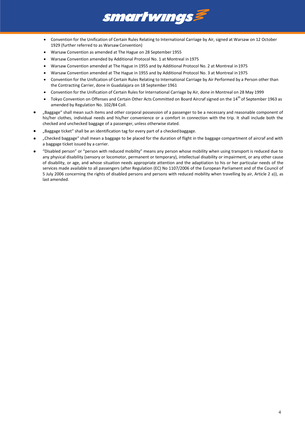

- Convention for the Unification of Certain Rules Relating to International Carriage by Air, signed at Warsaw on 12 October 1929 (further referred to as Warsaw Convention)
- Warsaw Convention as amended at The Hague on 28 September 1955
- Warsaw Convention amended by Additional Protocol No. 1 at Montreal in 1975
- Warsaw Convention amended at The Hague in 1955 and by Additional Protocol No. 2 at Montreal in 1975
- Warsaw Convention amended at The Hague in 1955 and by Additional Protocol No. 3 at Montreal in1975
- Convention for the Unification of Certain Rules Relating to International Carriage by Air Performed by a Person other than the Contracting Carrier, done in Guadalajara on 18 September 1961
- Convention for the Unification of Certain Rules for International Carriage by Air, done in Montreal on 28 May 1999
- Tokyo Convention on Offenses and Certain Other Acts Committed on Board Aircraf signed on the 14<sup>th</sup> of September 1963 as amended by Regulation No. 102/84 Coll.
- "Baggage" shall mean such items and other corporal possession of a passenger to be a necessary and reasonable component of his/her clothes, individual needs and his/her convenience or a comfort in connection with the trip. It shall include both the checked and unchecked baggage of a passenger, unless otherwise stated.
- "Baggage ticket" shall be an identification tag for every part of a checked baggage.
- "Checked baggage" shall mean a baggage to be placed for the duration of flight in the baggage compartment of aircraf and with a baggage ticket issued by a carrier.
- "Disabled person" or "person with reduced mobility" means any person whose mobility when using transport is reduced due to any physical disability (sensory or locomotor, permanent or temporary), intellectual disability or impairment, or any other cause of disability, or age, and whose situation needs appropriate attention and the adaptiation to his or her particular needs of the services made available to all passengers (after Regulation (EC) No 1107/2006 of the European Parliament and of the Council of 5 July 2006 concerning the rights of disabled persons and persons with reduced mobility when travelling by air, Article 2 a)), as last amended.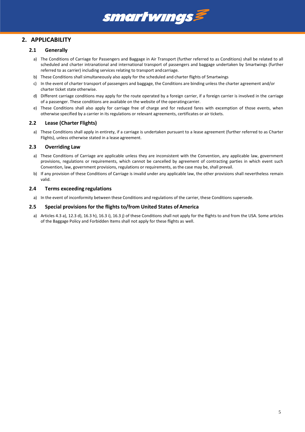

# <span id="page-4-1"></span><span id="page-4-0"></span>**2. APPLICABILITY**

#### **2.1 Generally**

- a) The Conditions of Carriage for Passengers and Baggage in Air Transport (further referred to as Conditions) shall be related to all scheduled and charter intranational and international transport of passengers and baggage undertaken by Smartwings (further referred to as carrier) including services relating to transport andcarriage.
- b) These Conditions shall simultaneously also apply for the scheduled and charter flights of Smartwings
- c) In the event of charter transport of passengers and baggage, the Conditions are binding unless the charter agreement and/or charter ticket state otherwise.
- d) Different carriage conditions may apply for the route operated by a foreign carrier, if a foreign carrier is involved in the carriage of a passenger. These conditions are available on the website of the operatingcarrier.
- e) These Conditions shall also apply for carriage free of charge and for reduced fares with excemption of those events, when otherwise specified by a carrier in its regulations or relevant agreements, certificates or air tickets.

#### <span id="page-4-2"></span>**2.2 Lease (Charter Flights)**

a) These Conditions shall apply in entirety, if a carriage is undertaken pursuant to a lease agreement (further referred to as Charter Flights), unless otherwise stated in a lease agreement.

#### <span id="page-4-3"></span>**2.3 Overriding Law**

- a) These Conditions of Carriage are applicable unless they are inconsistent with the Convention, any applicable law, government provisions, regulations or requirements, which cannot be cancelled by agreement of contracting parties in which event such Convention, law, government provisions, regulations or requirements, as the case may be, shall prevail.
- b) If any provision of these Conditions of Carriage is invalid under any applicable law, the other provisions shall nevertheless remain valid.

#### <span id="page-4-4"></span>**2.4 Terms exceeding regulations**

a) In the event of inconformity between these Conditions and regulations of the carrier, these Conditions supersede.

#### <span id="page-4-5"></span>**2.5 Special provisions for the flights to/from United States ofAmerica**

a) Articles 4.3 a), 12.3 d), 16.3 h), 16.3 i), 16.3 j) of these Conditions shall not apply for the flights to and from the USA. Some articles of the Baggage Policy and Forbidden Items shall not apply for these flights as well.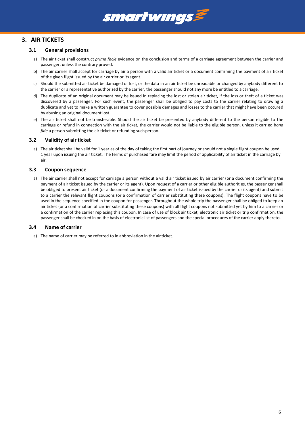# smartwings

# <span id="page-5-1"></span><span id="page-5-0"></span>**3. AIR TICKETS**

#### **3.1 General provisions**

- a) The air ticket shall construct *prima facie* evidence on the conclusion and terms of a carriage agreement between the carrier and passenger, unless the contrary proved.
- b) The air carrier shall accept for carriage by air a person with a valid air ticket or a document confirming the payment of air ticket of the given flight issued by the air carrier or itsagent.
- c) Should the submitted air ticket be damaged or lost, or the data in an air ticket be unreadable or changed by anybody different to the carrier or a representative authorized by the carrier, the passenger should not any more be entitled to a carriage.
- d) The duplicate of an original document may be issued in replacing the lost or stolen air ticket, if the loss or theft of a ticket was discovered by a passenger. For such event, the passenger shall be obliged to pay costs to the carrier relating to drawing a duplicate and yet to make a written guarantee to cover possible damages and losses to the carrier that might have been occured by abusing an original document lost.
- e) The air ticket shall not be transferable. Should the air ticket be presented by anybody different to the person eligible to the carriage or refund in connection with the air ticket, the carrier would not be liable to the eligible person, unless it carried *bona fide* a person submitting the air ticket or refunding suchperson.

### <span id="page-5-2"></span>**3.2 Validity of air ticket**

a) The air ticket shall be valid for 1 year as of the day of taking the first part of journey or should not a single flight coupon be used, 1 year upon issuing the air ticket. The terms of purchased fare may limit the period of applicability of air ticket in the carriage by air.

#### <span id="page-5-3"></span>**3.3 Coupon sequence**

a) The air carrier shall not accept for carriage a person without a valid air ticket issued by air carrier (or a document confirming the payment of air ticket issued by the carrier or its agent). Upon request of a carrier or other eligible authorities, the passenger shall be obliged to present air ticket (or a document confirming the payment of air ticket issued by the carrier or its agent) and submit to a carrier the relevant flight coupons (or a confirmation of carrier substituting these coupons). The flight coupons have to be used in the sequence specified in the coupon for passenger. Throughout the whole trip the passenger shall be obliged to keep an air ticket (or a confirmation of carrier substituting these coupons) with all flight coupons not submitted yet by him to a carrier or a confirmation of the carrier replacing this coupon. In case of use of block air ticket, electronic air ticket or trip confirmation, the passenger shall be checked in on the basis of electronic list of passengers and the special procedures of the carrier apply thereto.

#### <span id="page-5-4"></span>**3.4 Name of carrier**

a) The name of carrier may be referred to in abbreviation in the airticket.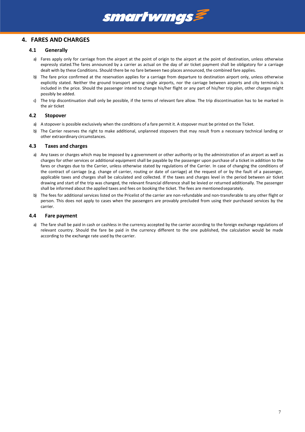

## <span id="page-6-1"></span><span id="page-6-0"></span>**4. FARES AND CHARGES**

#### **4.1 Generally**

- a) Fares apply only for carriage from the airport at the point of origin to the airport at the point of destination, unless otherwise expressly stated.The fares announced by a carrier as actual on the day of air ticket payment shall be obligatory for a carriage dealt with by these Conditions. Should there be no fare between two places announced, the combined fare applies.
- b) The fare price confirmed at the reservation applies for a carriage from departure to destination airport only, unless otherwise explicitly stated. Neither the ground transport among single airports, nor the carriage between airports and city terminals is included in the price. Should the passenger intend to change his/her flight or any part of his/her trip plan, other charges might possibly be added.
- c) The trip discontinuation shall only be possible, if the terms of relevant fare allow. The trip discontinuation has to be marked in the air ticket

#### <span id="page-6-2"></span>**4.2 Stopover**

- a) A stopover is possible exclusively when the conditions of a fare permit it. A stopover must be printed on the Ticket.
- b) The Carrier reserves the right to make additional, unplanned stopovers that may result from a necessary technical landing or other extraordinary circumstances.

#### <span id="page-6-3"></span>**4.3 Taxes and charges**

- a) Any taxes or charges which may be imposed by a government or other authority or by the administration of an airport as well as charges for other services or additional equipment shall be payable by the passenger upon purchase of a ticket in addition to the fares or charges due to the Carrier, unless otherwise stated by regulations of the Carrier. In case of changing the conditions of the contract of carriage (e.g. change of carrier, routing or date of carriage) at the request of or by the fault of a passenger, applicable taxes and charges shall be calculated and collected. If the taxes and charges level in the period between air ticket drawing and start of the trip was changed, the relevant financial diference shall be levied or returned additionally. The passenger shall be informed about the applied taxes and fees on booking the ticket. The fees are mentionedseparately.
- b) The fees for additional services listed on the Pricelist of the carrier are non-refundable and non-transferable to any other flight or person. This does not apply to cases when the passengers are provably precluded from using their purchased services by the carrier.

#### <span id="page-6-4"></span>**4.4 Fare payment**

a) The fare shall be paid in cash or cashless in the currency accepted by the carrier according to the foreign exchange regulations of relevant country. Should the fare be paid in the currency different to the one published, the calculation would be made according to the exchange rate used by the carrier.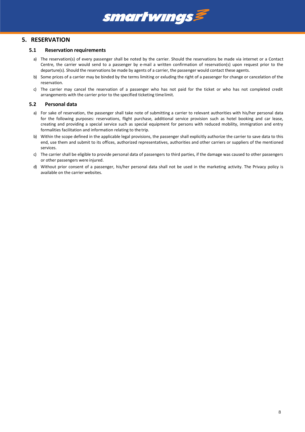

## <span id="page-7-1"></span><span id="page-7-0"></span>**5. RESERVATION**

#### **5.1 Reservation requirements**

- a) The reservation(s) of every passenger shall be noted by the carrier. Should the reservations be made via internet or a Contact Centre, the carrier would send to a passenger by e-mail a written confirmation of reservation(s) upon request prior to the departure(s). Should the reservations be made by agents of a carrier, the passenger would contact these agents.
- b) Some prices of a carrier may be binded by the terms limiting or exluding the right of a passenger for change or cancelation of the reservation.
- c) The carrier may cancel the reservation of a passenger who has not paid for the ticket or who has not completed credit arrangements with the carrier prior to the specified ticketing timelimit.

#### <span id="page-7-2"></span>**5.2 Personal data**

- a) For sake of reservation, the passenger shall take note of submitting a carrier to relevant authorities with his/her personal data for the following purposes: reservations, flight purchase, additional service provision such as hotel booking and car lease, creating and providing a special service such as special equipment for persons with reduced mobility, immigration and entry formalities facilitation and information relating to the trip.
- b) Within the scope defined in the applicable legal provisions, the passenger shall explicitly authorize the carrier to save data to this end, use them and submit to its offices, authorized representatives, authorities and other carriers or suppliers of the mentioned services.
- c) The carrier shall be eligible to provide personal data of passengers to third parties, if the damage was caused to other passengers or other passengers were injured.
- d) Without prior consent of a passenger, his/her personal data shall not be used in the marketing activity. The Privacy policy is available on the carrier websites.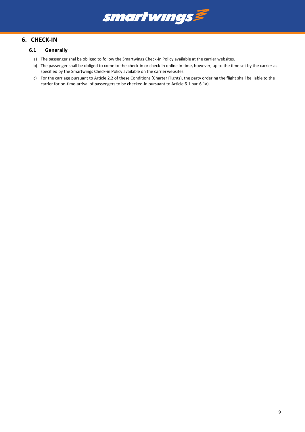

## <span id="page-8-2"></span><span id="page-8-1"></span><span id="page-8-0"></span>**6. CHECK-IN**

### **6.1 Generally**

- a) The passenger shal be obliged to follow the Smartwings Check-in Policy available at the carrier websites.
- b) The passenger shall be obliged to come to the check-in or check-in online in time, however, up to the time set by the carrier as specified by the Smartwings Check-in Policy available on the carrier websites.
- c) For the carriage pursuant to Article [2.2](#page-4-2) of these Conditions (Charter Flights), the party ordering the flight shall be liable to the carrier for on-time-arrival of passengers to be checked-in pursuant to Article 6.1 par[.6.1a\).](#page-8-2)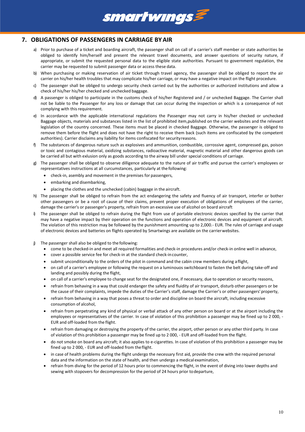

# <span id="page-9-0"></span>**7. OBLIGATIONS OF PASSENGERS IN CARRIAGE BYAIR**

- a) Prior to purchase of a ticket and boarding aircraft, the passenger shall on call of a carrier's staff member or state authorities be obliged to identify him/herself and present the relevant travel documents, and answer questions of security nature, if appropriate, or submit the requested personal data to the eligible state authorities. Pursuant to government regulation, the carrier may be requested to submit passenger data or access these data.
- b) When purchasing or making reservation of air ticket through travel agency, the passenger shall be obliged to report the air carrier on his/her health troubles that may complicate his/her carriage, or may have a negative impact on the flight procedure.
- c) The passenger shall be obliged to undergo security check carried out by the authorities or authorized institutions and allow a check of his/her his/her checked and unchecked baggage.
- d) A passenger is obliged to participate in the customs check of his/her Registered and / or unchecked Baggage. The Carrier shall not be liable to the Passenger for any loss or damage that can occur during the inspection or which is a consequence of not complying with this requirement.
- e) In accordance with the applicable international regulations the Passenger may not carry in his/her checked or unchecked Baggage objects, materials and substances listed in the list of prohibited item,published on the carrier websites and the relevant legislation of the country concerned. These items must be placed in checked Baggage. Otherwise, the passenger is obliged to remove them before the flight and does not have the right to receive them back (such items are confiscated by the competent authorities). Carrier disclaims any liability for items confiscated for securityreasons.
- f) The substances of dangerous nature such as explosives and ammunition, combustible, corrossive agent, compressed gas, poison or toxic and contagious material, oxidizing substances, radioactive material, magnetic material and other dangerous goods can be carried all but with exlusion only as goods according to the airway bill under special conditions of carriage.
- g) The passenger shall be obliged to observe dilligence adequate to the nature of air traffic and pursue the carrier's employees or representatives instructions at all curcumstances, particularly at the following:
	- check-in, asembly and movement in the premises for passengers,
	- embarking and disembarking,
	- placing the clothes and the unchecked (cabin) baggage in the aircraft.
- h) The passenger shall be obliged to refrain from the act endangering the safety and fluency of air transport, interfer or bother other passengers or be a root of cause of their claims, prevent proper execution of obligations of employees of the carrier, damage the carrier's or passenger's property, refrain from an excessive use of alcohol on board aircraft
- i) The passenger shall be obliged to refrain during the flight from use of portable electronic devices specified by the carrier that may have a negative impact by their operation on the functions and operation of electronic devices and equipment of aircraft. The violation of this restriction may be followed by the punishment amounting up to 2,000.- EUR. The rules of carriage and usage of electronic devices and batteries on flights operated by Smartwings are available on the carrierwebsites.
- The passenger shall also be obliged to the following:
	- come to be checked-in and meet all required formalities and check-in procedures and/or check-in online well in advance,
	- cover a possible service fee for check-in at the standard check-incounter,
	- submit unconditionally to the orders of the pilot in command and the cabin crew members during a flight,
	- on call of a carrier's employee or following the request on a luminouos switchboard to fasten the belt during take-off and landing and possibly during the flight,
	- on call of a carrier's employee to change seat for the designated one, if necessary, due to operation or security reasons,
	- refrain from behaving in a way that could endanger the safety and fluidity of air transport, disturb other passengers or be the cause of their complaints, impede the duties of the Carrier's staff, damage the Carrier's or other passengers'property,
	- refrain from behaving in a way that poses a threat to order and discipline on board the aircraft, including excessive consumption of alcohol,
	- refrain from perpetrating any kind of physical or verbal attack of any other person on board or at the airport including the employees or representatives of the carrier. In case of violation of this prohibition a passenger may be fined up to 2 000, - EUR and off-loaded from the flight.
	- refrain from damaging or destroying the property of the carrier, the airport, other person or any other third party. In case of violation of this prohibition a passenger may be fined up to 2 000, - EUR and off-loaded from the flight.
	- do not smoke on board any aircraft; it also applies to e-cigarettes. In case of violation of this prohibition a passenger may be fined up to 2 000, - EUR and off-loaded from the flight.
	- in case of health problems during the flight undergo the necessary first aid, provide the crew with the required personal data and the information on the state of health, and then undergo a medical examination,
	- refrain from diving for the period of 12 hours prior to commencing the flight, in the event of diving into lower depths and sewing with stopovers for decompression for the period of 24 hours prior todeparture,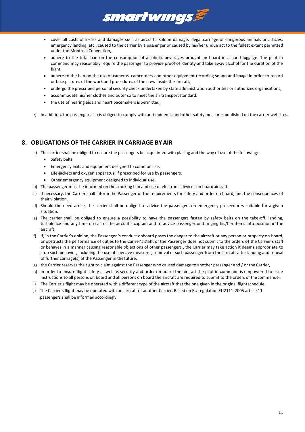

- cover all costs of losses and damages such as aircraft's saloon damage, illegal carriage of dangerous animals or articles, emergency landing, etc., caused to the carrier by a passenger or caused by his/her undue act to the fullest extent permitted under the Montreal Convention,
- adhere to the total ban on the consumption of alcoholic beverages brought on board in a hand luggage. The pilot in command may reasonably require the passenger to provide proof of identity and take away alcohol for the duration of the flight,
- adhere to the ban on the use of cameras, camcorders and other equipment recording sound and image in order to record or take pictures of the work and procedures of the crew inside the aircraft,
- undergo the prescribed personal security check undertaken by state administration authorities or authorizedorganisations,
- accommodate his/her clothes and outer so to meet the air transportstandard.
- the use of hearing aids and heart pacemakers is permitted,
- k) In addition, the passenger also is obliged to comply with anti-epidemic and other safety measures published on the carrier websites.

## <span id="page-10-0"></span>**8. OBLIGATIONS OF THE CARRIER IN CARRIAGE BYAIR**

- a) The carrier shall be obliged to ensure the passengers be acquainted with placing and the way of use of the following:
	- Safety belts,
	- Emergency exits and equipment designed to common use,
	- Life-jackets and oxygen apparatus, if prescribed for use by passengers,
	- Other emergency equipment designed to individual use.
- b) The passenger must be informed on the smoking ban and use of electronic devices on boardaircraft.
- c) if necessary, the Carrier shall inform the Passenger of the requirements for safety and order on board, and the consequences of their violation,
- d) Should the need arrise, the carrier shall be obliged to advice the passengers on emergency proceedures suitable for a given situation.
- e) The carrier shall be obliged to ensure a possibility to have the passengers fasten by safety belts on the take-off, landing, turbulence and any time on call of the aircraft's captain and to advice passenger on bringing his/her items into position in the aircraft.
- f) if, in the Carrier's opinion, the Passenger 's conduct onboard poses the danger to the aircraft or any person or property on board, or obstructs the performance of duties to the Carrier's staff, or the Passenger does not submit to the orders of the Carrier's staff or behaves in a manner causing reasonable objections of other passengers , the Carrier may take action it deems appropriate to stop such behavior, including the use of coercive measures, removal of such passenger from the aircraft after landing and refusal of further carriage(s) of the Passenger in the future,
- g) the Carrier reserves the right to claim against the Passenger who caused damage to another passenger and / or the Carrier,
- h) in order to ensure flight safety as well as security and order on board the aircraft the pilot in command is empowered to issue instructions to all persons on board and all persons on board the aircraft are required to submit to the orders of thecommander.
- i) The Carrier's flight may be operated with a different type of the aircraft that the one given in the original flightschedule.
- j) The Carrier's flight may be operated with an aircraft of another Carrier. Based on EU regulation EU2111-2005 article 11. passengers shall be informed accordingly.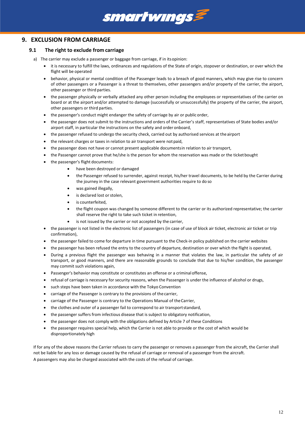

## <span id="page-11-1"></span><span id="page-11-0"></span>**9. EXCLUSION FROM CARRIAGE**

#### **9.1 The right to exclude from carriage**

- a) The carrier may exclude a passenger or baggage from carriage, if in itsopinion:
	- it is necessary to fulfill the laws, ordinances and regulations of the State of origin, stopover or destination, or over which the flight will be operated
	- behavior, physical or mental condition of the Passenger leads to a breach of good manners, which may give rise to concern of other passengers or a Passenger is a threat to themselves, other passengers and/or property of the carrier, the airport, other passenger or third parties.
	- the passenger physically or verbally attacked any other person including the employees or representatives of the carrier on board or at the airport and/or attempted to damage (successfully or unsuccessfully) the property of the carrier, the airport, other passengers or third parties.
	- the passenger's conduct might endanger the safety of carriage by air or public order,
	- the passenger does not submit to the instructions and orders of the Carrier's staff, representatives of State bodies and/or airport staff, in particular the instructions on the safety and order onboard,
	- the passenger refused to undergo the security check, carried out by authorised services at theairport
	- the relevant charges or taxes in relation to air transport were notpaid,
	- the passenger does not have or cannot present applicable documentsin relation to air transport,
	- the Passenger cannot prove that he/she is the person for whom the reservation was made or the ticketbought
	- the passenger's flight documents:
		- have been destroyed or damaged
		- the Passenger refused to surrender, against receipt, his/her travel documents, to be held by the Carrier during the journey in the case relevant government authorities require to do so
		- was gained illegally,
		- is declared lost or stolen,
		- is counterfeited,
		- the flight coupon was changed by someone different to the carrier or its authorized representative; the carrier shall reserve the right to take such ticket in retention,
		- is not issued by the carrier or not accepted by the carrier,
	- the passenger is not listed in the electronic list of passengers (in case of use of block air ticket, electronic air ticket or trip confirmation),
	- the passenger failed to come for departure in time pursuant to the Check-in policy published on the carrier websites
	- the passenger has been refused the entry to the country of departure, destination or over which the flight is operated,
	- During a previous flight the passenger was behaving in a manner that violates the law, in particular the safety of air transport, or good manners, and there are reasonable grounds to conclude that due to his/her condition, the passenger may commit such violations again,
	- Passenger's behavior may constitute or constitutes an offense or a criminal offense,
	- refusal of carriage is necessary for security reasons, when the Passenger is under the influence of alcohol or drugs,
	- such steps have been taken in accordance with the Tokyo Convention
	- carriage of the Passenger is contrary to the provisions of the carrier,
	- carriage of the Passenger is contrary to the Operations Manual of theCarrier,
	- the clothes and outer of a passenger fail to correspond to air transportstandard,
	- the passenger suffers from infectious disease that is subject to obligatory notification,
	- the passenger does not comply with the obligations defined by Article 7 of these Conditions
	- the passenger requires special help, which the Carrier is not able to provide or the cost of which would be disproportionately high

If for any of the above reasons the Carrier refuses to carry the passenger or removes a passenger from the aircraft, the Carrier shall not be liable for any loss or damage caused by the refusal of carriage or removal of a passenger from the aircraft. A passengers may also be charged associated with the costs of the refusal of carriage.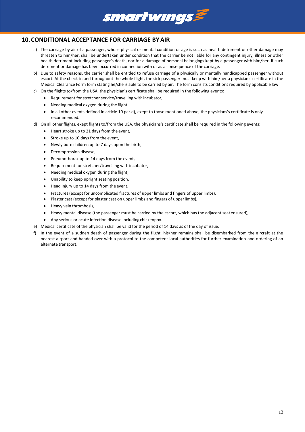

# <span id="page-12-0"></span>**10.CONDITIONAL ACCEPTANCE FOR CARRIAGE BYAIR**

- a) The carriage by air of a passenger, whose physical or mental condition or age is such as health detriment or other damage may threaten to him/her, shall be undertaken under condition that the carrier be not liable for any contingent injury, illness or other health detriment including passenger's death, nor for a damage of personal belongings kept by a passenger with him/her, if such detriment or damage has been occurred in connection with or as a consequence of thecarriage.
- b) Due to safety reasons, the carrier shall be entitled to refuse carriage of a physically or mentally handicapped passenger without escort. At the check-in and throughout the whole flight, the sick passenger must keep with him/her a physician's certificate in the Medical Clearance Form form stating he/she is able to be carried by air. The form consists conditions required by applicable law
- c) On the flights to/from the USA, the physician's certificate shall be required in the following events:
	- Requirement for stretcher service/travelling with incubator,
		- Needing medical oxygen during the flight.
	- In all other events defined in article 10 [par.d\),](#page-12-1) exept to those mentioned above, the physicians's certificate is only recommended.
- <span id="page-12-1"></span>d) On all other flights, exept flights to/from the USA, the physicians's certificate shall be required in the following events:
	- Heart stroke up to 21 days from the event,
	- Stroke up to 10 days from the event,
	- Newly born children up to 7 days upon the birth,
	- Decompression disease,
	- Pneumothorax up to 14 days from the event,
	- Requirement for stretcher/travelling with incubator,
	- Needing medical oxygen during the flight,
	- Unability to keep upright seating position,
	- Head injury up to 14 days from the event,
	- Fractures (except for uncomplicated fractures of upper limbs and fingers of upper limbs),
	- Plaster cast (except for plaster cast on upper limbs and fingers of upperlimbs),
	- Heavy vein thrombosis,
	- Heavy mental disease (the passenger must be carried by the escort, which has the adjacent seatensured),
	- Any serious or acute infection disease includingchickenpox.
- e) Medical certificate of the physician shall be valid for the period of 14 days as of the day of issue.
- f) In the event of a sudden death of passenger during the flight, his/her remains shall be disembarked from the aircraft at the nearest airport and handed over with a protocol to the competent local authorities for further examination and ordering of an alternate transport.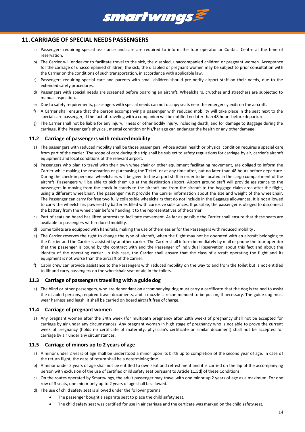

## <span id="page-13-0"></span>**11.CARRIAGE OF SPECIAL NEEDS PASSENGERS**

- a) Passengers requiring special assistance and care are required to inform the tour operator or Contact Centre at the time of reservation.
- b) The Carrier will endeavor to facilitate travel to the sick, the disabled, unaccompanied children or pregnant women. Acceptance for the carriage of unaccompanied children, the sick, the disabled or pregnant women may be subject to prior consultation with the Carrier on the conditions of such transportation, in accordance with applicable law.
- c) Passengers requiring special care and parents with small children should pre-notify airport staff on their needs, due to the extended safety procedures.
- d) Passengers with special needs are screened before boarding an aircraft. Wheelchairs, crutches and stretchers are subjected to manual inspection.
- e) Due to safety requirements, passengers with special needs can not occupy seats near the emergency exits on the aircraft.
- f) A Carrier shall ensure that the person accompanying a passenger with reduced mobility will take place in the seat next to the special care passenger, if the fact of traveling with a companion will be notified no later than 48 hours before departure.
- g) The Carrier shall not be liable for any injury, illness or other bodily injury, including death, and for damage to Baggage during the carriage, if the Passenger's physical, mental condition or his/her age can endanger the health or any otherdamage.

#### <span id="page-13-1"></span>**11.2 Carriage of passengers with reduced mobility**

- a) The passengers with reduced mobility shall be those passengers, whose actual health or physical condition requires a special care from part of the carrier. The scope of care during the trip shall be subject to safety regulations for carriage by air, carrier's aircraft equipment and local conditions of the relevant airport.
- b) Passengers who plan to travel with their own wheelchair or other equipment facilitating movement, are obliged to inform the Carrier while making the reservation or purchasing the Ticket, or at any time after, but no later than 48 hours before departure. During the check-in personal wheelchairs will be given to the airport staff in order to be located in the cargo compartment of the aircraft. Passengers will be able to pick them up at the destination airport. Airport ground staff will provide assistance to the passengers in moving from the check-in stands to the aircraft and from the aircraft to the baggage claim area after the flight, using a different wheelchair. The passenger must provide the Carrier information about the size and weight of the wheelchair. The Passenger can carry for free two fully collapsible wheelchairs that do not include in the Baggage allowances. It is not allowed to carry the wheelchairs powered by batteries filled with corrosive substances. If possible, the passenger is obliged to disconnect the battery from the wheelchair before handing it to the representatives of thecarrier
- c) Part of seats on board has lifted armrests to facilitate movement. As far as possible the Carrier shall ensure that these seats are available to passengers with reduced mobility.
- d) Some toilets are equipped with handrails, making the use of them easier for the Passengers with reduced mobility .
- e) The Carrier reserves the right to change the type of aircraft, when the flight may not be operated with an aircraft belonging to the Carrier and the Carrier is assisted by another carrier. The Carrier shall inform immediately by mail or phone the tour operator that the passenger is bound by the contract with and the Passenger of individual Reservation about this fact and about the identity of the operating carrier. In this case, the Carrier shall ensure that the class of aircraft operating the flight and its equipment is not worse than the aircraft of the Carrier.
- f) Cabin crew can provide assistance to the Passengers with reduced mobility on the way to and from the toilet but is not entitled to lift and carry passengers on the wheelchair seat or aid in the toilets.

#### <span id="page-13-2"></span>**11.3 Carriage of passengers travelling with a guide dog**

a) The blind or other passengers, who are dependant on accompanying dog must carry a cerfificate that the dog is trained to assist the disabled persons, required travel documents, and a muzzle is recommended to be put on, if necessary. The guide dog must wear harness and leash, it shall be carried on board aircraft free of charge.

#### <span id="page-13-3"></span>**11.4 Carriage of pregnant women**

a) Any pregnant women after the 34th week (for multipath pregnancy after 28th week) of pregnancy shall not be accepted for carriage by air under any circumstances. Any pregnant woman in high stage of pregnancy who is not able to prove the current week of pregnancy (holds no certificate of maternity, physician's certificate or similar document) shall not be accepted for carriage by air under any circumstances.

#### <span id="page-13-4"></span>**11.5 Carriage of minors up to 2 years of age**

- a) A minor under 2 years of age shall be understood a minor upon its birth up to completion of the second year of age. In case of the return flight, the date of return shall be a determining time.
- b) A minor under 2 years of age shall not be entitled to own seat and refreshment and it is carried on the lap of the accompanying person with exclusion of the use of certified child safety seat pursuant to Article [11.5d\)](#page-13-5) of these Conditions.
- c) On the routes operated by Smartwings, the adult passenger may travel with one minor up 2 years of age as a maximum. For one row of 3 seats, one minor only up to 2 years of age shall be allowed.
- <span id="page-13-5"></span>d) The use of child safety seat is allowed under the following terms:
	- The passenger bought a separate seat to place the child safety seat,
	- The child safety seat was certified for use in air carriage and the certicate was marked on the child safetyseat,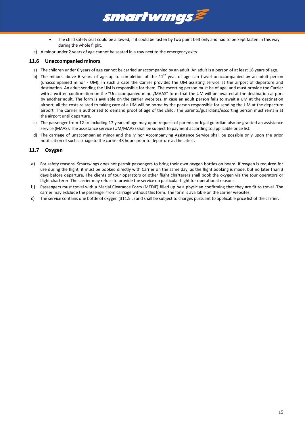

e) A minor under 2 years of age cannot be seated in a row next to the emergencyexits.

#### <span id="page-14-0"></span>**11.6 Unaccompanied minors**

a) The children under 6 years of age cannot be carried unaccompanied by an adult. An adult is a person of at least 18 years of age.

**smartwings** 

- b) The minors above 6 years of age up to completion of the  $11<sup>th</sup>$  year of age can travel unaccompanied by an adult person (unaccompanied minor - UM). In such a case the Carrier provides the UM assisting service at the airport of departure and destination. An adult sending the UM is responsible for them. The escorting person must be of age; and must provide the Carrier with a written confirmation on the "Unaccompanied minor/MAAS" form that the UM will be awaited at the destination airport by another adult. The form is available on the carrier websites. In case an adult person fails to await a UM at the destination airport, all the costs related to taking care of a UM will be borne by the person responsible for sending the UM at the departure airport. The Carrier is authorized to demand proof of age of the child. The parents/guardians/escorting person must remain at the airport until departure.
- c) The passenger from 12 to including 17 years of age may upon request of parents or legal guardian also be granted an assistance service (MAAS). The assistance service (UM/MAAS) shall be subject to payment according to applicable price list.
- d) The carriage of unaccompanied minor and the Minor Accompanying Assistance Service shall be possible only upon the prior notification of such carriage to the carrier 48 hours prior to departure as the latest.

#### <span id="page-14-1"></span>**11.7 Oxygen**

- a) For safety reasons, Smartwings does not permit passengers to bring their own oxygen bottles on board. If oxygen is required for use during the flight, it must be booked directly with Carrier on the same day, as the flight booking is made, but no later than 3 days before departure. The clients of tour operators or other flight charterers shall book the oxygen via the tour operators or flight charterer. The carrier may refuse to provide the service on particular flight for operational reasons.
- b) Passengers must travel with a Mecial Clearance Form (MEDIF) filled up by a physician confirming that they are fit to travel. The carrier may exlclude the passenger from carriage without this form. The form is available on the carrier websites.
- c) The service contains one bottle of oxygen (311.5 L) and shall be subject to charges pursuant to applicable price list of the carrier.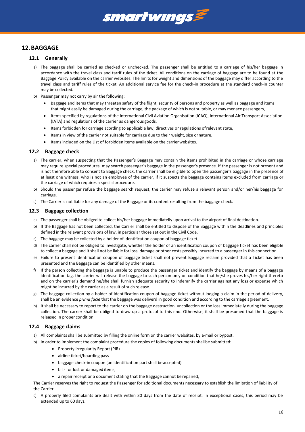

# <span id="page-15-1"></span><span id="page-15-0"></span>**12.BAGGAGE**

#### **12.1 Generally**

- a) The baggage shall be carried as checked or unchecked. The passenger shall be entitled to a carriage of his/her baggage in accordance with the travel class and tarrif rules of the ticket. All conditions on the carriage of baggage are to be found at the Baggage Policy available on the carrier websites. The limits for weight and dimensions of the baggage may differ according to the travel class and tariff rules of the ticket. An additional service fee for the check-in procedure at the standard check-in counter may be collected.
- b) Passenger may not carry by air the following:
	- Baggage and items that may threaten safety of the flight, security of persons and property as well as baggage and items that might easily be damaged during the carriage, the package of which is not suitable, or may menace passengers,
	- Items specified by regulations of the International Civil Aviation Organisation (ICAO), International Air Transport Association (IATA) and regulations of the carrier as dangerous goods,
	- Items forbidden for carriage acording to applicable law, directives or regulations ofrelevant state,
	- Items in view of the carrier not suitable for carriage due to their weight, size ornature.
	- Items included on the List of forbidden items available on the carrierwebsites.

#### <span id="page-15-2"></span>**12.2 Baggage check**

- a) The carrier, when suspecting that the Passenger's Baggage may contain the items prohibited in the carriage or whose carriage may require special procedures, may search passenger's baggage in the passenger's presence. If the passenger is not present and is not therefore able to consent to Baggage check, the carrier shall be eligible to open the passenger's baggage in the presence of at least one witness, who is not an employee of the carrier, if it suspects the baggage contains items excluded from carriage or the carriage of which requires a special procedure.
- b) Should the passenger refuse the baggage search request, the carrier may refuse a relevant person and/or her/his baggage for carriage.
- c) The Carrier is not liable for any damage of the Baggage or its content resulting from the baggage check.

#### <span id="page-15-3"></span>**12.3 Baggage collection**

- a) The passenger shall be obliged to collect his/her baggage immediatelly upon arrival to the airport of final destination.
- b) If the Baggage has not been collected, the Carrier shall be entitled to dispose of the Baggage within the deadlines and principles defined in the relevant provisions of law, in particular those set out in the Civil Code.
- c) The baggage may be collected by a holder of identification coupon of baggage ticket.
- d) The carrier shall not be obliged to investigate, whether the holder of an identification coupon of baggage ticket has been eligible to collect a baggage and it shall not be liable for loss, damage or other costs possibly incurred to a passenger in this connection.
- e) Failure to present identification coupon of baggage ticket shall not prevent Baggage reclaim provided that a Ticket has been presented and the Baggage can be identified by other means.
- f) If the person collecting the baggage is unable to produce the passenger ticket and identify the baggage by means of a baggage identification tag, the carrier will release the baggage to such person only on condition that he/she proves his/her right thereto and on the carrier's demand he/she shall furnish adequate security to indemnify the carrier against any loss or expense which might be incurred by the carrier as a result of such release.
- g) The baggage collection by a holder of identification coupon of baggage ticket without lodging a claim in the period of delivery, shall be an evidence *prima facie* that the baggage was deliverd in good condition and according to the carriage agreement.
- h) It shall be necessary to report to the carrier on the baggage destruction, uncollection or the loss immediatelly during the baggage collection. The carrier shall be obliged to draw up a protocol to this end. Otherwise, it shall be presumed that the baggage is released in proper condition.

#### <span id="page-15-4"></span>**12.4 Baggage claims**

- a) All complaints shall be submitted by filling the online form on the carrier websites, by e-mail or bypost.
- b) In order to implement the complaint procedure the copies of following documents shallbe submitted:
	- Property Irregularity Report (PIR)
	- airline ticket/boarding pass
	- baggage check-in coupon (an identification part shall be accepted)
	- bills for lost or damaged items,
	- a repair receipt or a document stating that the Baggage cannot be repaired,

The Carrier reserves the right to request the Passenger for additional documents necessary to establish the limitation of liability of the Carrier.

c) A properly filed complaints are dealt with within 30 days from the date of receipt. In exceptional cases, this period may be extended up to 60 days.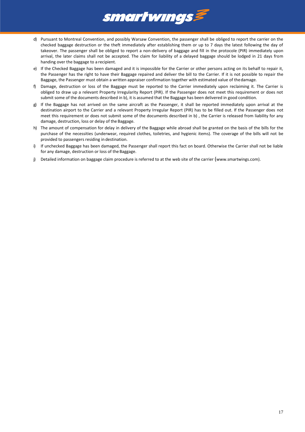

- d) Pursuant to Montreal Convention, and possibly Warsaw Convention, the passenger shall be obliged to report the carrier on the checked baggage destruction or the theft immediately after establishing them or up to 7 days the latest following the day of takeover. The passenger shall be obliged to report a non-delivery of baggage and fill in the protocole (PIR) immediately upon arrival, the later claims shall not be accepted. The claim for liability of a delayed baggage should be lodged in 21 days from handing over the baggage to a recipient.
- e) If the Checked Baggage has been damaged and it is impossible for the Carrier or other persons acting on its behalf to repair it, the Passenger has the right to have their Baggage repaired and deliver the bill to the Carrier. If it is not possible to repair the Baggage, the Passenger must obtain a written appraiser confirmation together with estimated value of thedamage.
- f) Damage, destruction or loss of the Baggage must be reported to the Carrier immediately upon reclaiming it. The Carrier is obliged to draw up a relevant Property Irregularity Report (PIR). If the Passenger does not meet this requirement or does not submit some of the documents described in b), it is assumed that the Baggage has been delivered in good condition.
- g) If the Baggage has not arrived on the same aircraft as the Passenger, it shall be reported immediately upon arrival at the destination airport to the Carrier and a relevant Property Irregular Report (PIR) has to be filled out. If the Passenger does not meet this requirement or does not submit some of the documents described in b) , the Carrier is released from liability for any damage, destruction, loss or delay of the Baggage.
- h) The amount of compensation for delay in delivery of the Baggage while abroad shall be granted on the basis of the bills for the purchase of the necessities (underwear, required clothes, toiletries, and hygienic items). The coverage of the bills will not be provided to passengers residing in destination.
- i) If unchecked Baggage has been damaged, the Passenger shall report this fact on board. Otherwise the Carrier shall not be liable for any damage, destruction or loss of the Baggage.
- j) Detailed information on baggage claim procedure is referred to at the web site of the carrier (www.smartwings.com).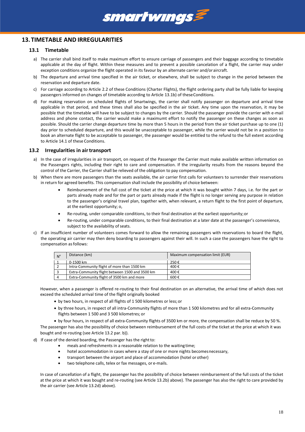

## <span id="page-17-1"></span><span id="page-17-0"></span>**13. TIMETABLE AND IRREGULARITIES**

#### **13.1 Timetable**

- a) The carrier shall bind itself to make maximum effort to ensure carriage of passengers and their baggage according to timetable applicable at the day of flight. Within these measures and to prevent a possible cancelation of a flight, the carrier may under exception conditions organize the flight operated in its favour by an alternate carrier and/oraircraft.
- <span id="page-17-3"></span>b) The departure and arrival time specified in the air ticket, or elsewhere, shall be subject to change in the period between the reservation and departure date.
- c) For carriage according to Articl[e 2.2](#page-4-2) of these Conditions (Charter Flights), the flight ordering party shall be fully liable for keeping passengers informed on changes of timetable according to Articl[e 13.1b\)](#page-17-3) of these Conditions.
- d) For making reservation on scheduled flights of Smartwings, the carrier shall notify passenger on departure and arrival time applicable in that period, and these times shall also be specified in the air ticket. Any time upon the reservation, it may be possible that the timetable will have to be subject to changes by the carrier. Should the passenger provide the carrier with e-mail address and phone contact, the carrier would make a maximumt effort to notify the passenger on these changes as soon as possible. Should the carrier change departure time by more than 5 hours in the period from the air ticket purchase up to one (1) day prior to scheduled departure, and this would be unacceptable to passenger, while the carrier would not be in a position to book an alternate flight to be acceptable to passenger, the passenger would be entitled to the refund to the full extent according to Article [14.1](#page-19-1) of these Conditions.

#### <span id="page-17-2"></span>**13.2 Irregularities in airtransport**

- a) In the case of irregularities in air transport, on request of the Passenger the Carrier must make available written information on the Passengers rights, including their right to care and compensation. If the irregularity results from the reasons beyond the control of the Carrier, the Carrier shall be relieved of the obligation to pay compensation.
- <span id="page-17-4"></span>b) When there are more passengers than the seats available, the air carrier first calls for volunteers to surrender their reservations in return for agreed benefits. This compensation shall include the possibility of choice between:
	- Reimbursement of the full cost of the ticket at the price at which it was bought within 7 days, i.e. for the part or parts already made and for the part or parts already made if the flight is no longer serving any purpose in relation to the passenger's original travel plan, together with, when relevant, a return flight to the first point of departure, at the earliest opportunity; o,
	- Re-routing, under comparable conditions, to their final destination at the earliest opportunity;or
	- Re-routing, under comparable conditions, to their final destination at a later date at the passenger's convenience, subject to the availability of seats.
- <span id="page-17-6"></span>c) If an insufficient number of volunteers comes forward to allow the remaining passengers with reservations to board the flight, the operating air carrier may then deny boarding to passengers against their will. In such a case the passengers have the right to compensation as follows:

| $N^{\circ}$ | Distance (km)                                   | Maximum compensation limit (EUR) |
|-------------|-------------------------------------------------|----------------------------------|
|             | 0-1500 km                                       | 250€                             |
|             | Intra-Community flight of more than 1500 km     | 400€                             |
|             | Extra-Community flight between 1500 and 3500 km | 400€                             |
| 4           | Extra-Community flight of 3500 km and more      | 600€                             |

However, when a passenger is offered re-routing to their final destination on an alternative, the arrival time of which does not exceed the scheduled arrival time of the flight originally booked

- by two hours, in respect of all flights of 1 500 kilometres or less;or
- by three hours, in respect of all intra-Community flights of more than 1 500 kilometres and for all extra-Community flights between 1 500 and 3 500 kilometres; or

by four hours, in respect of all extra-Community flights of 3500 km or more, the compensation shall be reduce by 50 %.

The passenger has also the possibility of choice between reimbursement of the full costs of the ticket at the price at which it was bought and re-routing (see Article 13.2 par. [b\)\).](#page-17-4)

- <span id="page-17-5"></span>d) If case of the denied boarding, the Passenger has the rightto:
	- meals and refreshments in a reasonable relation to the waiting time;
	- hotel accommodation in cases where a stay of one or more nights becomesnecessary,
	- transport between the airport and place of accommodation (hotel orother)
	- two telephone calls, telex or fax messages, or e-mails.

In case of cancellation of a flight, the passenger has the possibility of choice between reimbursement of the full costs of the ticket at the price at which it was bought and re-routing (see Articl[e 13.2b\)](#page-17-4) above). The passenger has also the right to care provided by the air carrier (see Articl[e 13.2d\)](#page-17-5) above).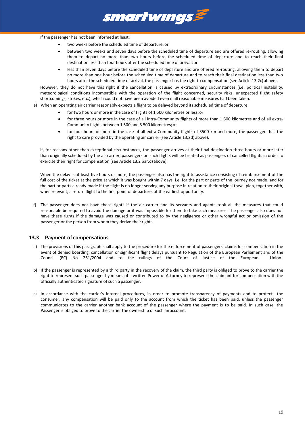

If the passenger has not been informed at least:

- two weeks before the scheduled time of departure; or
- between two weeks and seven days before the scheduled time of departure and are offered re-routing, allowing them to depart no more than two hours before the scheduled time of departure and to reach their final destination less than four hours after the scheduled time of arrival; or
- less than seven days before the scheduled time of departure and are offered re-routing, allowing them to depart no more than one hour before the scheduled time of departure and to reach their final destination less than two hours after the scheduled time of arrival, the passenger has the right to compensation (see Article 13.2c) above).

However, they do not have this right if the cancellation is caused by extraordinary circumstances (i.e. political instability, meteorological conditions incompatible with the operation of the flight concerned, security risks, unexpected flight safety shortcomings, strikes, etc.), which could not have been avoided even if all reasonable measures had been taken.

- e) When an operating air carrier reasonably expects a flight to be delayed beyond its scheduled time of departure:
	- for two hours or more in the case of flights of 1 500 kilometres or less;or
	- for three hours or more in the case of all intra-Community flights of more than 1 500 kilometres and of all extra-Community flights between 1 500 and 3 500 kilometres; or
	- for four hours or more in the case of all extra-Community flights of 3500 km and more, the passengers has the right to care provided by the operating air carrier (see Articl[e 13.2d\)](#page-17-5) above).

If, for reasons other than exceptional circumstances, the passenger arrives at their final destination three hours or more later than originally scheduled by the air carrier, passengers on such flights will be treated as passengers of cancelled flights in order to exercise their right for compensation (see Article 13.2 par[.d\)](#page-17-5) above).

When the delay is at least five hours or more, the passenger also has the right to assistance consisting of reimbursement of the full cost of the ticket at the price at which it was bought within 7 days, i.e. for the part or parts of the journey not made, and for the part or parts already made if the flight is no longer serving any purpose in relation to their original travel plan, together with, when relevant, a return flight to the first point of departure, at the earliest opportunity.

f) The passenger does not have these rights if the air carrier and its servants and agents took all the measures that could reasonable be required to avoid the damage or it was impossible for them to take such measures. The passenger also does not have these rights if the damage was caused or contributed to by the negligence or other wrongful act or omission of the passenger or the person from whom they derive their rights.

#### <span id="page-18-0"></span>**13.3 Payment of compensations**

- a) The provisions of this paragraph shall apply to the procedure for the enforcement of passengers' claims for compensation in the event of denied boarding, cancellation or significant flight delays pursuant to Regulation of the European Parliament and of the Council (EC) No 261/2004 and to the rulings of the Court of Justice of the European Union.
- b) If the passenger is represented by a third party in the recovery of the claim, the third party is obliged to prove to the carrier the right to represent such passenger by means of a written Power of Attorney to represent the claimant for compensation with the officially authenticated signature of such a passenger.
- c) In accordance with the carrier's internal procedures, in order to promote transparency of payments and to protect the consumer, any compensation will be paid only to the account from which the ticket has been paid, unless the passenger communicates to the carrier another bank account of the passenger where the payment is to be paid. In such case, the Passenger is obliged to prove to the carrier the ownership of such anaccount.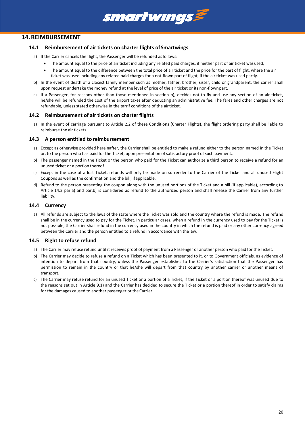## <span id="page-19-1"></span><span id="page-19-0"></span>**14.REIMBURSEMENT**

#### **14.1 Reimbursement of air tickets on charter flights of Smartwings**

- a) If the Carrier cancels the flight, the Passenger will be refunded as follows:
	- The amount equal to the price of air ticket including any related paid charges, if neither part of air ticket wasused;

smartwings

- The amount equal to the difference between the total price of air ticket and the price for the part of flight, where the air ticket was used including any related paid charges for a not-flown part of flight, if the air ticket was used partly.
- b) In the event of death of a closest family member such as mother, father, brother, sister, child or grandparent, the carrier shall upon request undertake the money refund at the level of price of the air ticket or its non-flownpart.
- c) If a Passenger, for reasons other than those mentioned in section b), decides not to fly and use any section of an air ticket, he/she will be refunded the cost of the airport taxes after deducting an administrative fee. The fares and other charges are not refundable, unless stated otherwise in the tarrif conditions of the airticket.

#### <span id="page-19-2"></span>**14.2 Reimbursement of air tickets on charterflights**

a) In the event of carriage pursuant to Article [2.2](#page-4-2) of these Conditions (Charter Flights), the flight ordering party shall be liable to reimburse the air tickets.

#### <span id="page-19-6"></span><span id="page-19-3"></span>**14.3 A person entitled to reimbursement**

- a) Except as otherwise provided hereinafter, the Carrier shall be entitled to make a refund either to the person named in the Ticket or, to the person who has paid for the Ticket, upon presentation of satisfactory proof of such payment..
- <span id="page-19-7"></span>b) The passenger named in the Ticket or the person who paid for the Ticket can authorize a third person to receive a refund for an unused ticket or a portion thereof.
- c) Except in the case of a lost Ticket, refunds will only be made on surrender to the Carrier of the Ticket and all unused Flight Coupons as well as the confirmation and the bill, ifapplicable.
- d) Refund to the person presenting the coupon along with the unused portions of the Ticket and a bill (if applicable), according to Article 14.3 [par.a\)](#page-19-6) and pa[r.b\)](#page-19-7) is considered as refund to the authorized person and shall release the Carrier from any further liability.

#### <span id="page-19-4"></span>**14.4 Currency**

a) All refunds are subject to the laws of the state where the Ticket was sold and the country where the refund is made. The refund shall be in the currency used to pay for the Ticket. In particular cases, when a refund in the currency used to pay for the Ticket is not possible, the Carrier shall refund in the currency used in the country in which the refund is paid or any other currency agreed between the Carrier and the person entitled to a refund in accordance with the law.

#### <span id="page-19-5"></span>**14.5 Right to refuse refund**

- a) The Carrier may refuse refund until it receives proof of payment from a Passenger or another person who paid for the Ticket.
- b) The Carrier may decide to refuse a refund on a Ticket which has been presented to it, or to Government officials, as evidence of intention to depart from that country, unless the Passenger establishes to the Carrier's satisfaction that the Passenger has permission to remain in the country or that he/she will depart from that country by another carrier or another means of transport.
- c) The Carrier may refuse refund for an unused Ticket or a portion of a Ticket, if the Ticket or a portion thereof was unused due to the reasons set out in Article [9.1\)](#page-11-1) and the Carrier has decided to secure the Ticket or a portion thereof in order to satisfy claims for the damages caused to another passenger or the Carrier.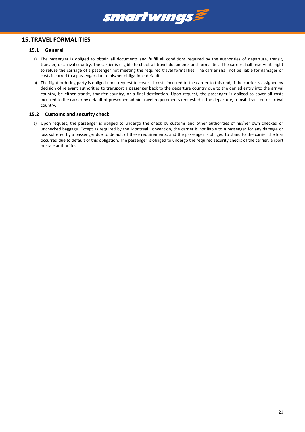

## <span id="page-20-1"></span><span id="page-20-0"></span>**15. TRAVEL FORMALITIES**

#### **15.1 General**

- a) The passenger is obliged to obtain all documents and fulfill all conditions required by the authorities of departure, transit, transfer, or arrival country. The carrier is eligible to check all travel documents and formalities. The carrier shall reserve its right to refuse the carriage of a passenger not meeting the required travel formalities. The carrier shall not be liable for damages or costs incurred to a passenger due to his/her obligation'sdefault.
- b) The flight ordering party is obliged upon request to cover all costs incurred to the carrier to this end, if the carrier is assigned by decision of relevant authorities to transport a passenger back to the departure country due to the denied entry into the arrival country, be either transit, transfer country, or a final destination. Upon request, the passenger is obliged to cover all costs incurred to the carrier by default of prescribed admin travel requirements requested in the departure, transit, transfer, or arrival country.

#### <span id="page-20-2"></span>**15.2 Customs and security check**

a) Upon request, the passenger is obliged to undergo the check by customs and other authorities of his/her own checked or unchecked baggage. Except as required by the Montreal Convention, the carrier is not liable to a passenger for any damage or loss suffered by a passenger due to default of these requirements, and the passenger is obliged to stand to the carrier the loss occurred due to default of this obligation. The passenger is obliged to undergo the required security checks of the carrier, airport or state authorities.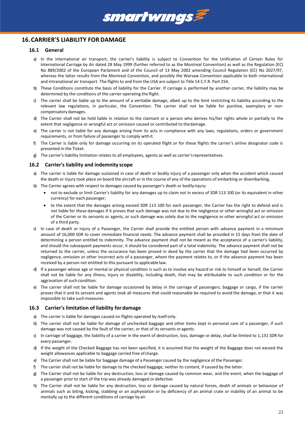

# <span id="page-21-1"></span><span id="page-21-0"></span>**16.CARRIER'S LIABILITY FOR DAMAGE**

#### **16.1 General**

- a) In the international air transport, the carrier's liability is subject to Convention for the Unification of Certain Rules for International Carriage by Air dated 28 May 1999 (further referred to as the Montreal Convention) as well as the Regulation (EC) No 889/2002 of the European Parlament and of the Council of 13 May 2002 amending Council Regulation (EC) No 2027/97, whereas the latter results from the Montreal Convention, and possibly the Warsaw Convention applicable to both international and intranational air transport. The flights to and from the USA are subject to Title 14 C.F.R. Part 254.
- b) These Conditions constitute the basis of liability for the Carrier. If carriage is performed by another carrier, the liability may be determined by the conditions of the carrier operating the flight.
- c) The carrier shall be liable up to the amount of a veritable damage, albeit up to the limit restricting its liability according to the relevant law regulations, in particular, the Convention. The carrier shall not be liable for punitive, exemplary or noncompensatory damages.
- d) The Carrier shall not be held liable in relation to the claimant or a person who derives his/her rights whole or partially to the extent that negligence or wrongful act or omission caused or contributed to thedamage.
- e) The carrier is not liable for any damage arising from its acts in compliance with any laws, regulations, orders or government requirements, or from failure of passenger to comply withit.
- f) The Carrier is liable only for damage occurring on its operated flight or for these flights the carrier's airline designator code is presented in the Ticket.
- g) The carrier's liability limitation relates to all employees, agents as well as carrier'srepresentatives.

#### <span id="page-21-2"></span>**16.2 Carrier's liability and indemnity scope**

- a) The carrier is liable for damage sustained in case of death or bodily injury of a passenger only when the accident which caused the death or injury took place on board the aircraft or in the course of any of the operations of embarking or disembarking,
- b) The Carrier agrees with respect to damages caused by passenger's death or bodily injury:
	- not to exclude or limit Carrier's liability for any damages up to claim not in excess of SDR 113 100 (or its equivalent in other currency) for each passenger;
	- to the extent that the damages arising exceed SDR 113 100 for each passenger, the Carrier has the right to defend and is not liable for these damages if it proves that such damage was not due to the negligence or other wrongful act or omission of the Carrier or its servants or agents, or such damage was solely due to the negligence or other wrongful act or omission of a third party.
- c) In case of death or injury of a Passenger, the Carrier shall provide the entitled person with advance payment in a minimum amount of 16,000 SDR to cover immediate financial needs. The advance payment shall be provided in 15 days from the date of determining a person entitled to indemnity. The advance payment shall not be meant as the acceptance of a carrier's liability, and should the subsequent payments occur, it should be considered part of a total indemnity. The advance payment shall not be returned to the carrier, unless the occurance has been proved in deed by the carrier that the damage had been occurred by negligence, omission or other incorrect acts of a passenger, whom the payment relates to, or if the advance payment has been received by a person not entitled to this pursuant to applicable law.
- d) If a passenger whose age or mental or physical condition is such as to involve any hazard or risk to himself or herself, the Carrier shall not be liable for any illness, injury or disability, including death, that may be attributable to such condition or for the aggravation of such condition.
- e) The carrier shall not be liable for damage occasioned by delay in the carriage of passengers, baggage or cargo, if the carrier proves that it and its servant and agents took all measures that could reasonable be required to avoid the damage, or that it was impossible to take such measures.

#### <span id="page-21-3"></span>**16.3 Carrier's limitation of liability for damage**

- a) The carrier is liable for damages caused on flights operated by itself only.
- b) The carrier shall not be liable for damage of unchecked baggage and other items kept in personal care of a passenger, if such damage was not caused by the fault of the carrier, or that of its servants or agents.
- c) In carriage of baggage, the liability of a carrier in the event of destruction, loss, damage or delay, shall be limited to 1,131 SDR for every passenger.
- d) If the weight of the Checked Baggage has not been specified, it is assumed that the weight of the Baggage does not exceed the weight allowances applicable to baggage carried free of charge.
- e) The Carrier shall not be liable for baggage damage of a Passenger caused by the negligence of the Passenger.
- f) The carrier shall not be liable for damage to the checked baggage, neither its content, if caused by the latter.
- g) The Carrier shall not be liable for any destruction, loss or damage caused by common wear, and the event, when the baggage of a passenger prior to start of the trip was already damaged or defective.
- h) The Carrier shall not be liable for any destruction, loss or damage caused by natural forces, death of animals or behaviour of animals such as biting, kicking, stabbing or an asphyxiation or by deficiency of an animal crate or inability of an animal to be mentally up to the different conditions of carriage by air.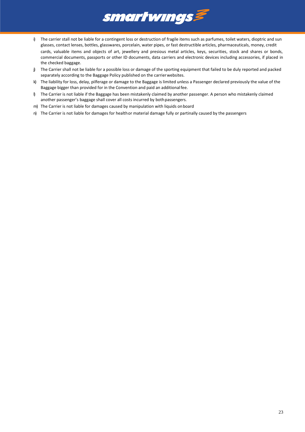

- i) The carrier stall not be liable for a contingent loss or destruction of fragile items such as parfumes, toilet waters, dioptric and sun glasses, contact lenses, bottles, glasswares, porcelain, water pipes, or fast destructible articles, pharmaceuticals, money, credit cards, valuable items and objects of art, jewellery and presious metal articles, keys, securities, stock and shares or bonds, commercial documents, passports or other ID documents, data carriers and electronic devices including accessories, if placed in the checked baggage.
- j) The Carrier shall not be liable for a possible loss or damage of the sporting equipment that failed to be duly reported and packed separately according to the Baggage Policy published on the carrier websites.
- k) The liability for loss, delay, pilferage or damage to the Baggage is limited unless a Passenger declared previously the value of the Baggage bigger than provided for in the Convention and paid an additionalfee.
- l) The Carrier is not liable if the Baggage has been mistakenly claimed by another passenger. A person who mistakenly claimed another passenger's baggage shall cover all costs incurred by bothpassengers.
- m) The Carrier is not liable for damages caused by manipulation with liquids onboard
- n) The Carrier is not liable for damages for healthor material damage fully or partinally caused by the passengers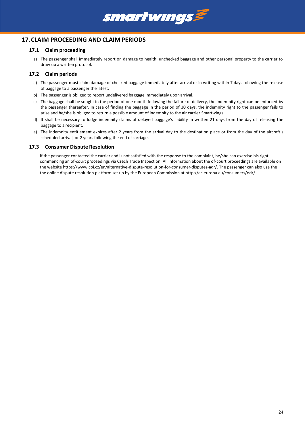

## <span id="page-23-1"></span><span id="page-23-0"></span>**17.CLAIM PROCEEDING AND CLAIM PERIODS**

#### **17.1 Claim proceeding**

a) The passenger shall immediately report on damage to health, unchecked baggage and other personal property to the carrier to draw up a written protocol.

#### <span id="page-23-2"></span>**17.2 Claim periods**

- a) The passenger must claim damage of checked baggage immediately after arrival or in writing within 7 days following the release of baggage to a passenger the latest.
- b) The passenger is obliged to report undelivered baggage immediately upon arrival.
- c) The baggage shall be sought in the period of one month following the failure of delivery, the indemnity right can be enforced by the passenger thereafter. In case of finding the baggage in the period of 30 days, the indemnity right to the passenger fails to arise and he/she is obliged to return a possible amount of indemnity to the air carrier Smartwings
- d) It shall be necessary to lodge indemnity claims of delayed baggage's liability in written 21 days from the day of releasing the baggage to a recipient.
- e) The indemnity entitlement expires after 2 years from the arrival day to the destination place or from the day of the aircraft's scheduled arrival, or 2 years following the end of carriage.

#### <span id="page-23-3"></span>**17.3 Consumer Dispute Resolution**

If the passenger contacted the carrier and is not satisfied with the response to the complaint, he/she can exercise his right commencing an of-court proceedings via Czech Trade Inspection. All information about the of-court proceedings are available on the website [https://www.coi.cz/en/alternative-dispute-resolution-for-consumer-disputes-adr/.](https://www.coi.cz/en/alternative-dispute-resolution-for-consumer-disputes-adr/) The passenger can also use the the online dispute resolution platform set up by the European Commission a[t http://ec.europa.eu/consumers/odr/.](http://ec.europa.eu/consumers/odr/)